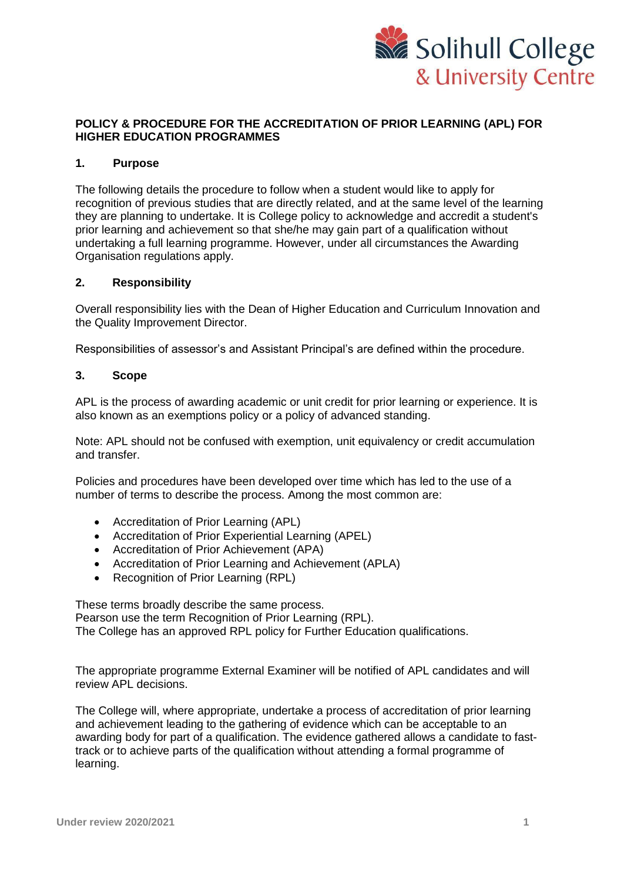

## **POLICY & PROCEDURE FOR THE ACCREDITATION OF PRIOR LEARNING (APL) FOR HIGHER EDUCATION PROGRAMMES**

### **1. Purpose**

The following details the procedure to follow when a student would like to apply for recognition of previous studies that are directly related, and at the same level of the learning they are planning to undertake. It is College policy to acknowledge and accredit a student's prior learning and achievement so that she/he may gain part of a qualification without undertaking a full learning programme. However, under all circumstances the Awarding Organisation regulations apply.

### **2. Responsibility**

Overall responsibility lies with the Dean of Higher Education and Curriculum Innovation and the Quality Improvement Director.

Responsibilities of assessor's and Assistant Principal's are defined within the procedure.

### **3. Scope**

APL is the process of awarding academic or unit credit for prior learning or experience. It is also known as an exemptions policy or a policy of advanced standing.

Note: APL should not be confused with exemption, unit equivalency or credit accumulation and transfer.

Policies and procedures have been developed over time which has led to the use of a number of terms to describe the process. Among the most common are:

- Accreditation of Prior Learning (APL)
- Accreditation of Prior Experiential Learning (APEL)
- Accreditation of Prior Achievement (APA)
- Accreditation of Prior Learning and Achievement (APLA)
- Recognition of Prior Learning (RPL)

These terms broadly describe the same process. Pearson use the term Recognition of Prior Learning (RPL). The College has an approved RPL policy for Further Education qualifications.

The appropriate programme External Examiner will be notified of APL candidates and will review APL decisions.

The College will, where appropriate, undertake a process of accreditation of prior learning and achievement leading to the gathering of evidence which can be acceptable to an awarding body for part of a qualification. The evidence gathered allows a candidate to fasttrack or to achieve parts of the qualification without attending a formal programme of learning.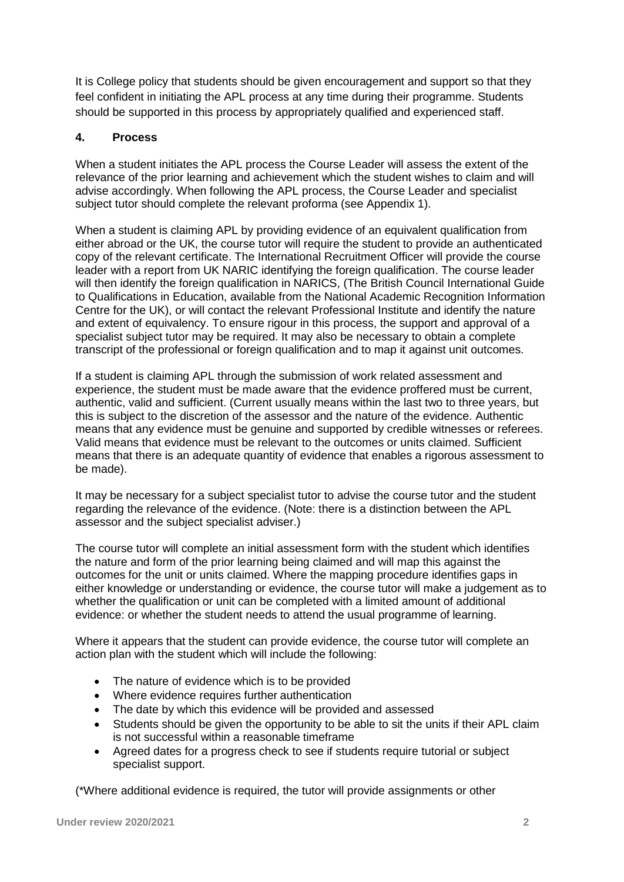It is College policy that students should be given encouragement and support so that they feel confident in initiating the APL process at any time during their programme. Students should be supported in this process by appropriately qualified and experienced staff.

## **4. Process**

When a student initiates the APL process the Course Leader will assess the extent of the relevance of the prior learning and achievement which the student wishes to claim and will advise accordingly. When following the APL process, the Course Leader and specialist subject tutor should complete the relevant proforma (see Appendix 1).

When a student is claiming APL by providing evidence of an equivalent qualification from either abroad or the UK, the course tutor will require the student to provide an authenticated copy of the relevant certificate. The International Recruitment Officer will provide the course leader with a report from UK NARIC identifying the foreign qualification. The course leader will then identify the foreign qualification in NARICS, (The British Council International Guide to Qualifications in Education, available from the National Academic Recognition Information Centre for the UK), or will contact the relevant Professional Institute and identify the nature and extent of equivalency. To ensure rigour in this process, the support and approval of a specialist subject tutor may be required. It may also be necessary to obtain a complete transcript of the professional or foreign qualification and to map it against unit outcomes.

If a student is claiming APL through the submission of work related assessment and experience, the student must be made aware that the evidence proffered must be current, authentic, valid and sufficient. (Current usually means within the last two to three years, but this is subject to the discretion of the assessor and the nature of the evidence. Authentic means that any evidence must be genuine and supported by credible witnesses or referees. Valid means that evidence must be relevant to the outcomes or units claimed. Sufficient means that there is an adequate quantity of evidence that enables a rigorous assessment to be made).

It may be necessary for a subject specialist tutor to advise the course tutor and the student regarding the relevance of the evidence. (Note: there is a distinction between the APL assessor and the subject specialist adviser.)

The course tutor will complete an initial assessment form with the student which identifies the nature and form of the prior learning being claimed and will map this against the outcomes for the unit or units claimed. Where the mapping procedure identifies gaps in either knowledge or understanding or evidence, the course tutor will make a judgement as to whether the qualification or unit can be completed with a limited amount of additional evidence: or whether the student needs to attend the usual programme of learning.

Where it appears that the student can provide evidence, the course tutor will complete an action plan with the student which will include the following:

- The nature of evidence which is to be provided
- Where evidence requires further authentication
- The date by which this evidence will be provided and assessed
- Students should be given the opportunity to be able to sit the units if their APL claim is not successful within a reasonable timeframe
- Agreed dates for a progress check to see if students require tutorial or subject specialist support.

(\*Where additional evidence is required, the tutor will provide assignments or other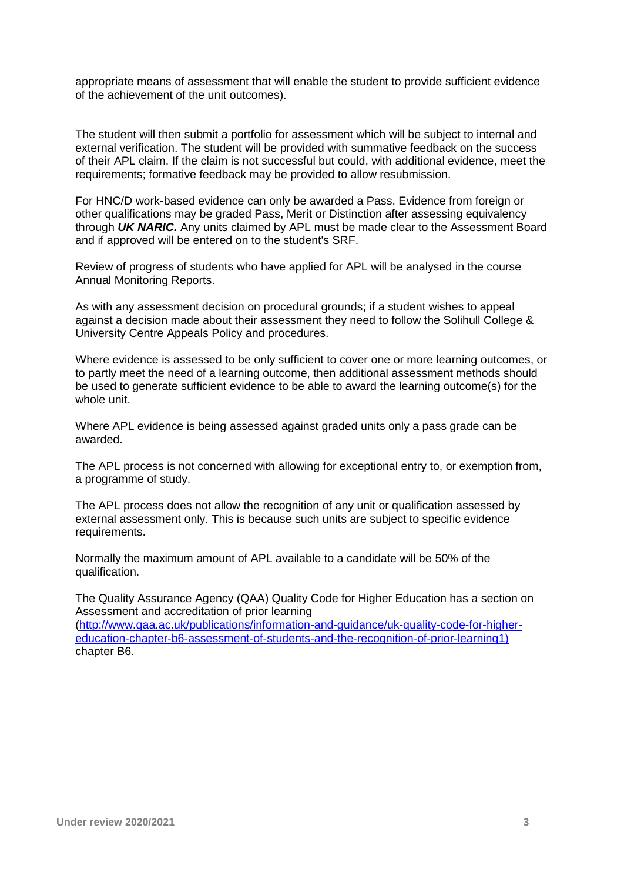appropriate means of assessment that will enable the student to provide sufficient evidence of the achievement of the unit outcomes).

The student will then submit a portfolio for assessment which will be subject to internal and external verification. The student will be provided with summative feedback on the success of their APL claim. If the claim is not successful but could, with additional evidence, meet the requirements; formative feedback may be provided to allow resubmission.

For HNC/D work-based evidence can only be awarded a Pass. Evidence from foreign or other qualifications may be graded Pass, Merit or Distinction after assessing equivalency through *UK NARIC.* Any units claimed by APL must be made clear to the Assessment Board and if approved will be entered on to the student's SRF.

Review of progress of students who have applied for APL will be analysed in the course Annual Monitoring Reports.

As with any assessment decision on procedural grounds; if a student wishes to appeal against a decision made about their assessment they need to follow the Solihull College & University Centre Appeals Policy and procedures.

Where evidence is assessed to be only sufficient to cover one or more learning outcomes, or to partly meet the need of a learning outcome, then additional assessment methods should be used to generate sufficient evidence to be able to award the learning outcome(s) for the whole unit.

Where APL evidence is being assessed against graded units only a pass grade can be awarded.

The APL process is not concerned with allowing for exceptional entry to, or exemption from, a programme of study.

The APL process does not allow the recognition of any unit or qualification assessed by external assessment only. This is because such units are subject to specific evidence requirements.

Normally the maximum amount of APL available to a candidate will be 50% of the qualification.

The Quality Assurance Agency (QAA) Quality Code for Higher Education has a section on Assessment and accreditation of prior learning

[\(http://www.qaa.ac.uk/publications/information-and-guidance/uk-quality-code-for-higher](http://www.qaa.ac.uk/publications/information-and-guidance/uk-quality-code-for-higher-education-chapter-b6-assessment-of-students-and-the-recognition-of-prior-learning1))[education-chapter-b6-assessment-of-students-and-the-recognition-of-prior-learning1\)](http://www.qaa.ac.uk/publications/information-and-guidance/uk-quality-code-for-higher-education-chapter-b6-assessment-of-students-and-the-recognition-of-prior-learning1)) chapter B6.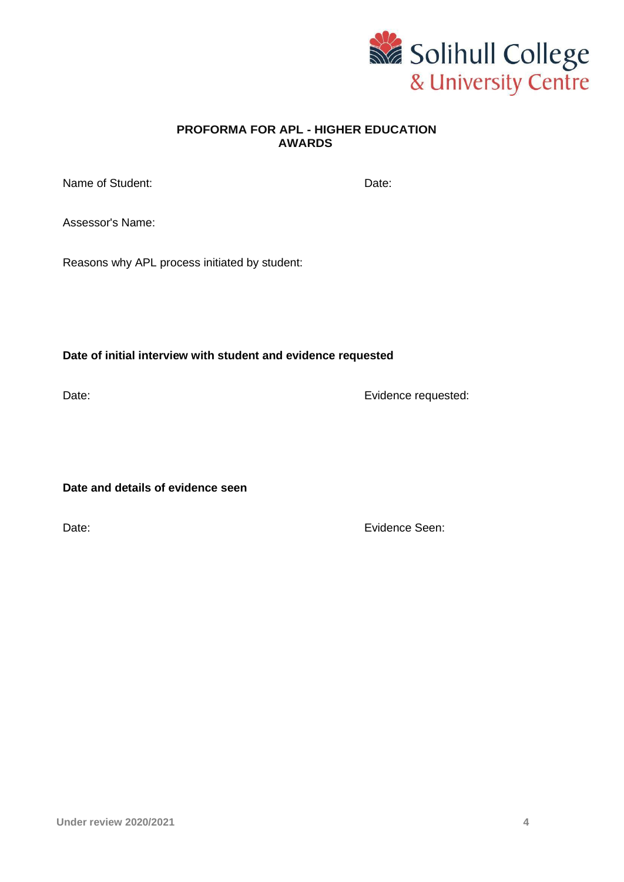

## **PROFORMA FOR APL - HIGHER EDUCATION AWARDS**

| Name of Student: | Date: |
|------------------|-------|
|------------------|-------|

Assessor's Name:

Reasons why APL process initiated by student:

**Date of initial interview with student and evidence requested**

Date: **Evidence requested:** 

**Date and details of evidence seen**

Date: **Existence Seen:** Evidence Seen: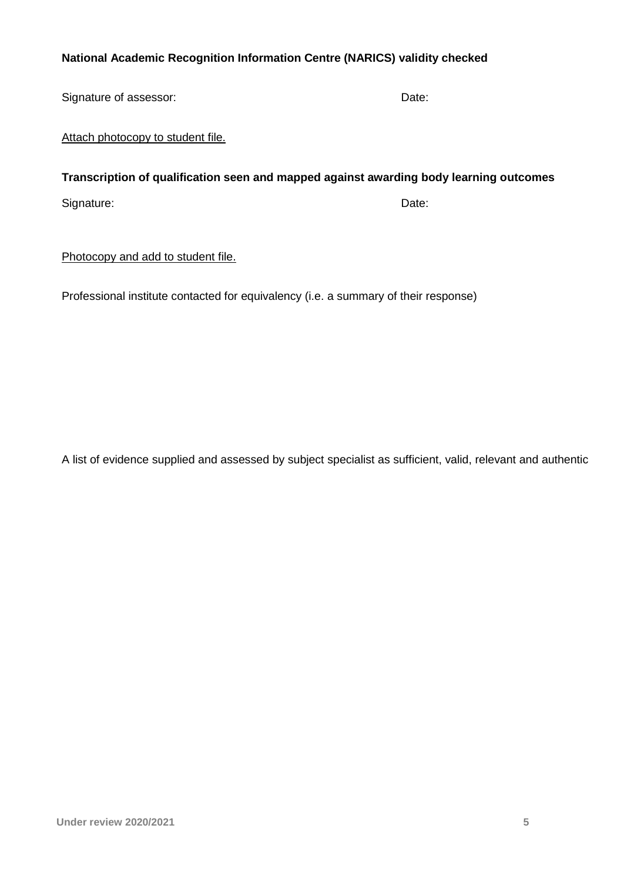# **National Academic Recognition Information Centre (NARICS) validity checked**

Signature of assessor: Date: Date: Date: Date:

Attach photocopy to student file.

# **Transcription of qualification seen and mapped against awarding body learning outcomes**

Signature: Date: Date: Date: Date: Date: Date: Date: Date: Date: Date: Date: Date: Date: Date: Date: Date: Date: Date: Date: Date: Date: Date: Date: Date: Date: Date: Date: Date: Date: Date: Date: Date: Date: Date: Date: D

## Photocopy and add to student file.

Professional institute contacted for equivalency (i.e. a summary of their response)

A list of evidence supplied and assessed by subject specialist as sufficient, valid, relevant and authentic